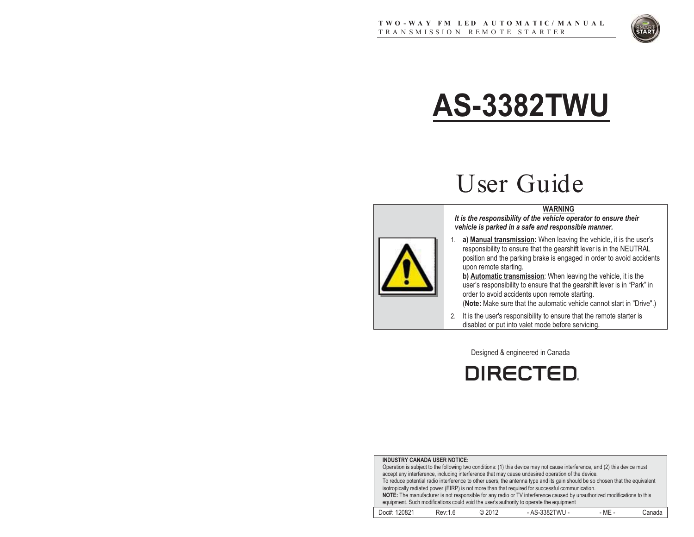

# **AS-3382TWU**

# User Guide

#### **WARNING**

*It is the responsibility of the vehicle operator to ensure their vehicle is parked in a safe and responsible manner.* 

1. **a) Manual transmission:** When leaving the vehicle, it is the user's responsibility to ensure that the gearshift lever is in the NEUTRAL position and the parking brake is engaged in order to avoid accidents upon remote starting.

**b) Automatic transmission**: When leaving the vehicle, it is the user's responsibility to ensure that the gearshift lever is in "Park" in order to avoid accidents upon remote starting.

(**Note:** Make sure that the automatic vehicle cannot start in "Drive".)

2. It is the user's responsibility to ensure that the remote starter is disabled or put into valet mode before servicing.

Designed & engineered in Canada

**DIRECTED.** 

| <b>INDUSTRY CANADA USER NOTICE:</b>                                                                                        |                                                                                                                              |        |                                                                                                  |        |        |  |  |  |
|----------------------------------------------------------------------------------------------------------------------------|------------------------------------------------------------------------------------------------------------------------------|--------|--------------------------------------------------------------------------------------------------|--------|--------|--|--|--|
| Operation is subject to the following two conditions: (1) this device may not cause interference, and (2) this device must |                                                                                                                              |        |                                                                                                  |        |        |  |  |  |
|                                                                                                                            | accept any interference, including interference that may cause undesired operation of the device.                            |        |                                                                                                  |        |        |  |  |  |
|                                                                                                                            | To reduce potential radio interference to other users, the antenna type and its gain should be so chosen that the equivalent |        |                                                                                                  |        |        |  |  |  |
|                                                                                                                            |                                                                                                                              |        | isotropically radiated power (EIRP) is not more than that required for successful communication. |        |        |  |  |  |
| NOTE: The manufacturer is not responsible for any radio or TV interference caused by unauthorized modifications to this    |                                                                                                                              |        |                                                                                                  |        |        |  |  |  |
| equipment. Such modifications could void the user's authority to operate the equipment                                     |                                                                                                                              |        |                                                                                                  |        |        |  |  |  |
| Doc#: 120821                                                                                                               | Rev:1.6                                                                                                                      | © 2012 | - AS-3382TWU -                                                                                   | - MF - | Canada |  |  |  |

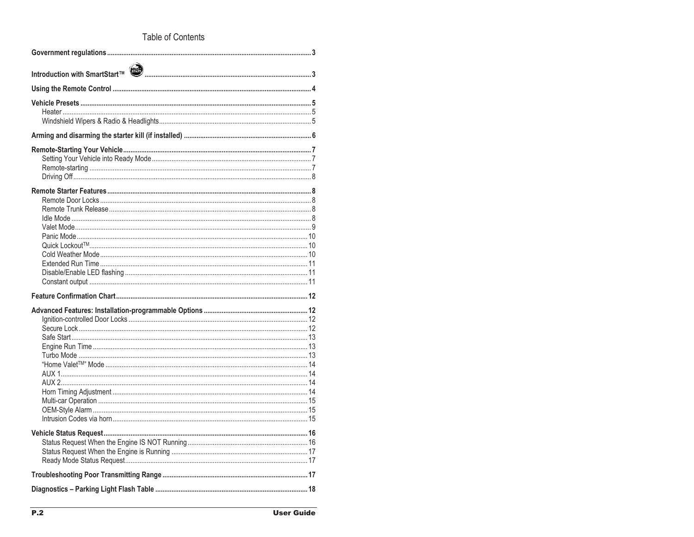### Table of Contents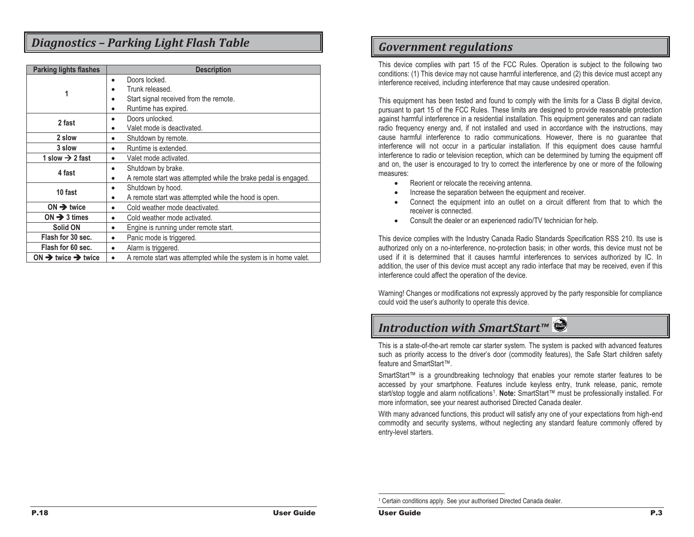# *Diagnostics – Parking Light Flash Table*

| <b>Parking lights flashes</b>              | <b>Description</b>                                                           |  |  |  |
|--------------------------------------------|------------------------------------------------------------------------------|--|--|--|
|                                            | Doors locked.<br>$\bullet$                                                   |  |  |  |
| 1                                          | Trunk released.                                                              |  |  |  |
|                                            | Start signal received from the remote.                                       |  |  |  |
|                                            | Runtime has expired.<br>$\bullet$                                            |  |  |  |
| 2 fast                                     | Doors unlocked.                                                              |  |  |  |
|                                            | Valet mode is deactivated.<br>$\bullet$                                      |  |  |  |
| 2 slow                                     | Shutdown by remote.<br>$\bullet$                                             |  |  |  |
| 3 slow                                     | Runtime is extended.<br>$\bullet$                                            |  |  |  |
| 1 slow $\rightarrow$ 2 fast                | Valet mode activated.                                                        |  |  |  |
| 4 fast                                     | Shutdown by brake.<br>$\bullet$                                              |  |  |  |
|                                            | A remote start was attempted while the brake pedal is engaged.<br>$\bullet$  |  |  |  |
| 10 fast                                    | Shutdown by hood.<br>$\bullet$                                               |  |  |  |
|                                            | A remote start was attempted while the hood is open.<br>$\bullet$            |  |  |  |
| $ON \rightarrow$ twice                     | Cold weather mode deactivated.<br>$\bullet$                                  |  |  |  |
| ON $\rightarrow$ 3 times                   | Cold weather mode activated.<br>$\bullet$                                    |  |  |  |
| Solid ON                                   | Engine is running under remote start.<br>$\bullet$                           |  |  |  |
| Flash for 30 sec.                          | Panic mode is triggered.<br>$\bullet$                                        |  |  |  |
| Flash for 60 sec.                          | Alarm is triggered.<br>$\bullet$                                             |  |  |  |
| ON $\rightarrow$ twice $\rightarrow$ twice | A remote start was attempted while the system is in home valet.<br>$\bullet$ |  |  |  |

# *Government regulations*

This device complies with part 15 of the FCC Rules. Operation is subject to the following two conditions: (1) This device may not cause harmful interference, and (2) this device must accept any interference received, including interference that may cause undesired operation.

This equipment has been tested and found to comply with the limits for a Class B digital device, pursuant to part 15 of the FCC Rules. These limits are designed to provide reasonable protection against harmful interference in a residential installation. This equipment generates and can radiate radio frequency energy and, if not installed and used in accordance with the instructions, may cause harmful interference to radio communications. However, there is no guarantee that interference will not occur in a particular installation. If this equipment does cause harmful interference to radio or television reception, which can be determined by turning the equipment off and on, the user is encouraged to try to correct the interference by one or more of the following measures:

- -Reorient or relocate the receiving antenna.
- -Increase the separation between the equipment and receiver.
- - Connect the equipment into an outlet on a circuit different from that to which the receiver is connected.
- $\bullet$ Consult the dealer or an experienced radio/TV technician for help.

This device complies with the Industry Canada Radio Standards Specification RSS 210. Its use is authorized only on a no-interference, no-protection basis; in other words, this device must not be used if it is determined that it causes harmful interferences to services authorized by IC. In addition, the user of this device must accept any radio interface that may be received, even if this interference could affect the operation of the device.

Warning! Changes or modifications not expressly approved by the party responsible for compliance could void the user's authority to operate this device.

# *Introduction with SmartStart™*

This is a state-of-the-art remote car starter system. The system is packed with advanced features such as priority access to the driver's door (commodity features), the Safe Start children safety feature and SmartStart™.

SmartStart™ is a groundbreaking technology that enables your remote starter features to be accessed by your smartphone. Features include keyless entry, trunk release, panic, remote start/stop toggle and alarm notifications1. **Note:** SmartStart™ must be professionally installed. For more information, see your nearest authorised Directed Canada dealer.

With many advanced functions, this product will satisfy any one of your expectations from high-end commodity and security systems, without neglecting any standard feature commonly offered by entry-level starters.

<sup>&</sup>lt;sup>1</sup> Certain conditions apply. See your authorised Directed Canada dealer.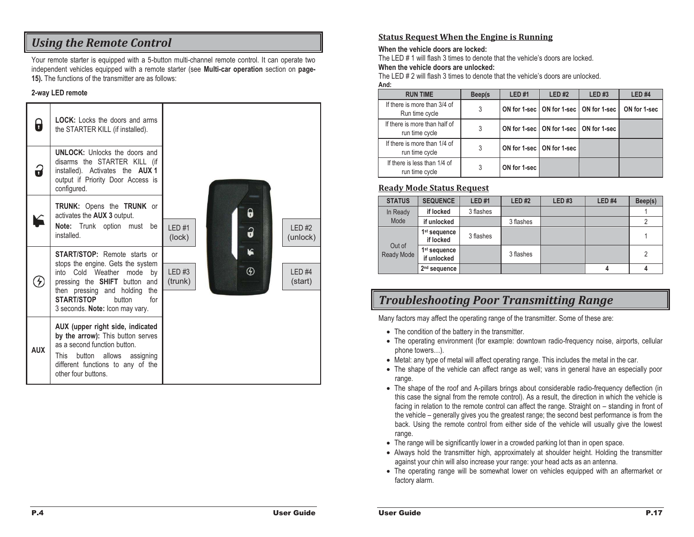# *Using the Remote Control*

Your remote starter is equipped with a 5-button multi-channel remote control. It can operate two independent vehicles equipped with a remote starter (see **Multi-car operation** section on **page-15).** The functions of the transmitter are as follows:

#### **2-way LED remote**

| $\overline{\mathbf{r}}$ | <b>LOCK:</b> Locks the doors and arms<br>the STARTER KILL (if installed).                                                                                                                                                                                            |                                                              |
|-------------------------|----------------------------------------------------------------------------------------------------------------------------------------------------------------------------------------------------------------------------------------------------------------------|--------------------------------------------------------------|
| 3                       | <b>UNLOCK:</b> Unlocks the doors and<br>disarms the STARTER KILL (if<br>installed). Activates the <b>AUX 1</b><br>output if Priority Door Access is<br>configured.                                                                                                   |                                                              |
|                         | <b>TRUNK:</b> Opens the <b>TRUNK</b> or<br>activates the AUX 3 output.<br>Note: Trunk option must be<br>installed.                                                                                                                                                   | 0<br>$IFD$ #1<br>LED#2<br>3<br>(lock)<br>(unlock)            |
| $\mathcal{F}$           | <b>START/STOP:</b> Remote starts or<br>stops the engine. Gets the system<br>into Cold Weather mode<br>bv<br>pressing the <b>SHIFT</b> button and<br>then pressing and holding<br>the<br><b>START/STOP</b><br>button<br>for<br>3 seconds. <b>Note:</b> Icon may vary. | k<br>$^\circledR$<br>LED#3<br>$IFD$ #4<br>(trunk)<br>(start) |
| <b>AUX</b>              | AUX (upper right side, indicated<br>by the arrow): This button serves<br>as a second function button.<br>This button allows<br>assigning<br>different functions to any of the<br>other four buttons.                                                                 |                                                              |

#### **Status Request When the Engine is Running**

#### **When the vehicle doors are locked:**

The LED # 1 will flash 3 times to denote that the vehicle's doors are locked. **When the vehicle doors are unlocked:** 

The LED # 2 will flash 3 times to denote that the vehicle's doors are unlocked.

#### **And:**

| <b>RUN TIME</b>                                 | Beep(s | <b>LED#1</b> | LED#2                                      | <b>LED#3</b> | <b>LED#4</b> |
|-------------------------------------------------|--------|--------------|--------------------------------------------|--------------|--------------|
| If there is more than 3/4 of<br>Run time cycle  | 3      |              | ON for 1-sec   ON for 1-sec   ON for 1-sec |              | ON for 1-sec |
| If there is more than half of<br>run time cycle | 3      |              | ON for 1-sec   ON for 1-sec   ON for 1-sec |              |              |
| If there is more than 1/4 of<br>run time cycle  | 3      |              | ON for 1-sec   ON for 1-sec                |              |              |
| If there is less than 1/4 of<br>run time cycle  | 3      | ON for 1-sec |                                            |              |              |

#### **Ready Mode Status Request**

| <b>STATUS</b>        | <b>SEQUENCE</b>                         | <b>LED#1</b> | LED#2     | LED#3 | LED#4 | Beep(s)        |
|----------------------|-----------------------------------------|--------------|-----------|-------|-------|----------------|
| In Ready<br>Mode     | if locked                               | 3 flashes    |           |       |       |                |
|                      | if unlocked                             |              | 3 flashes |       |       |                |
| Out of<br>Ready Mode | 1 <sup>st</sup> sequence<br>if locked   | 3 flashes    |           |       |       |                |
|                      | 1 <sup>st</sup> sequence<br>if unlocked |              | 3 flashes |       |       | $\overline{2}$ |
|                      | 2 <sup>nd</sup> sequence                |              |           |       |       |                |

# *Troubleshooting Poor Transmitting Range*

Many factors may affect the operating range of the transmitter. Some of these are:

- The condition of the battery in the transmitter.
- The operating environment (for example: downtown radio-frequency noise, airports, cellular phone towers…).
- Metal: any type of metal will affect operating range. This includes the metal in the car.
- The shape of the vehicle can affect range as well; vans in general have an especially poor range.
- The shape of the roof and A-pillars brings about considerable radio-frequency deflection (in this case the signal from the remote control). As a result, the direction in which the vehicle is facing in relation to the remote control can affect the range. Straight on – standing in front of the vehicle – generally gives you the greatest range; the second best performance is from the back. Using the remote control from either side of the vehicle will usually give the lowest range.
- The range will be significantly lower in a crowded parking lot than in open space.
- Always hold the transmitter high, approximately at shoulder height. Holding the transmitter against your chin will also increase your range: your head acts as an antenna.
- The operating range will be somewhat lower on vehicles equipped with an aftermarket or factory alarm.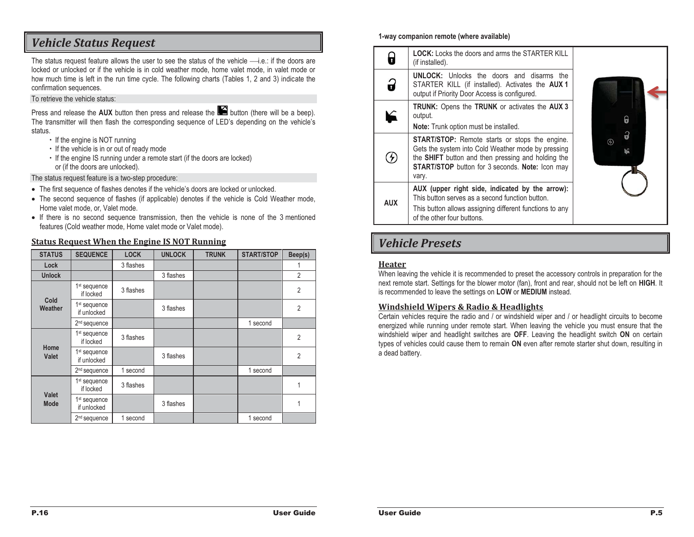# *Vehicle Status Request*

The status request feature allows the user to see the status of the vehicle  $\longrightarrow$ i.e.: if the doors are locked or unlocked or if the vehicle is in cold weather mode, home valet mode, in valet mode or how much time is left in the run time cycle. The following charts (Tables 1, 2 and 3) indicate the confirmation sequences.

#### To retrieve the vehicle status:

Press and release the **AUX** button then press and release the **button** (there will be a beep). The transmitter will then flash the corresponding sequence of LED's depending on the vehicle's status.

- If the engine is NOT running
- If the vehicle is in or out of ready mode
- If the engine IS running under a remote start (if the doors are locked) or (if the doors are unlocked).

The status request feature is a two-step procedure:

- The first sequence of flashes denotes if the vehicle's doors are locked or unlocked.
- The second sequence of flashes (if applicable) denotes if the vehicle is Cold Weather mode, Home valet mode, or, Valet mode.
- If there is no second sequence transmission, then the vehicle is none of the 3 mentioned features (Cold weather mode, Home valet mode or Valet mode).

#### **Status Request When the Engine IS NOT Running**

| <b>STATUS</b>        | <b>SEQUENCE</b>                         | <b>LOCK</b> | <b>UNLOCK</b> | <b>TRUNK</b> | <b>START/STOP</b> | Beep(s)        |
|----------------------|-----------------------------------------|-------------|---------------|--------------|-------------------|----------------|
| Lock                 |                                         | 3 flashes   |               |              |                   |                |
| <b>Unlock</b>        |                                         |             | 3 flashes     |              |                   | $\overline{2}$ |
| Cold<br>Weather      | 1 <sup>st</sup> sequence<br>if locked   | 3 flashes   |               |              |                   | 2              |
|                      | 1 <sup>st</sup> sequence<br>if unlocked |             | 3 flashes     |              |                   | 2              |
|                      | 2 <sup>nd</sup> sequence                |             |               |              | 1 second          |                |
| Home<br>Valet        | 1 <sup>st</sup> sequence<br>if locked   | 3 flashes   |               |              |                   | 2              |
|                      | 1 <sup>st</sup> sequence<br>if unlocked |             | 3 flashes     |              |                   | $\overline{2}$ |
|                      | 2 <sup>nd</sup> sequence                | 1 second    |               |              | 1 second          |                |
| Valet<br><b>Mode</b> | 1 <sup>st</sup> sequence<br>if locked   | 3 flashes   |               |              |                   | 1              |
|                      | 1 <sup>st</sup> sequence<br>if unlocked |             | 3 flashes     |              |                   | 1              |
|                      | 2 <sup>nd</sup> sequence                | 1 second    |               |              | 1 second          |                |

#### **1-way companion remote (where available)**

| Ŧ          | <b>LOCK:</b> Locks the doors and arms the STARTER KILL<br>(if installed).                                                                                                                                                                   |          |
|------------|---------------------------------------------------------------------------------------------------------------------------------------------------------------------------------------------------------------------------------------------|----------|
| 9          | <b>UNLOCK:</b> Unlocks the doors and disarms the<br>STARTER KILL (if installed). Activates the <b>AUX1</b><br>output if Priority Door Access is configured.                                                                                 |          |
|            | <b>TRUNK:</b> Opens the <b>TRUNK</b> or activates the <b>AUX 3</b><br>output.<br><b>Note:</b> Trunk option must be installed.                                                                                                               | θ        |
|            | <b>START/STOP:</b> Remote starts or stops the engine.<br>Gets the system into Cold Weather mode by pressing<br>the <b>SHIFT</b> button and then pressing and holding the<br><b>START/STOP</b> button for 3 seconds. Note: Icon may<br>vary. | $\cal G$ |
| <b>AUX</b> | AUX (upper right side, indicated by the arrow):<br>This button serves as a second function button.<br>This button allows assigning different functions to any<br>of the other four buttons.                                                 |          |

# *Vehicle Presets*

#### **Heater**

When leaving the vehicle it is recommended to preset the accessory controls in preparation for the next remote start. Settings for the blower motor (fan), front and rear, should not be left on **HIGH**. It is recommended to leave the settings on **LOW** or **MEDIUM** instead.

#### **Windshield Wipers & Radio & Headlights**

Certain vehicles require the radio and / or windshield wiper and / or headlight circuits to become energized while running under remote start. When leaving the vehicle you must ensure that the windshield wiper and headlight switches are **OFF**. Leaving the headlight switch **ON** on certain types of vehicles could cause them to remain **ON** even after remote starter shut down, resulting in a dead battery.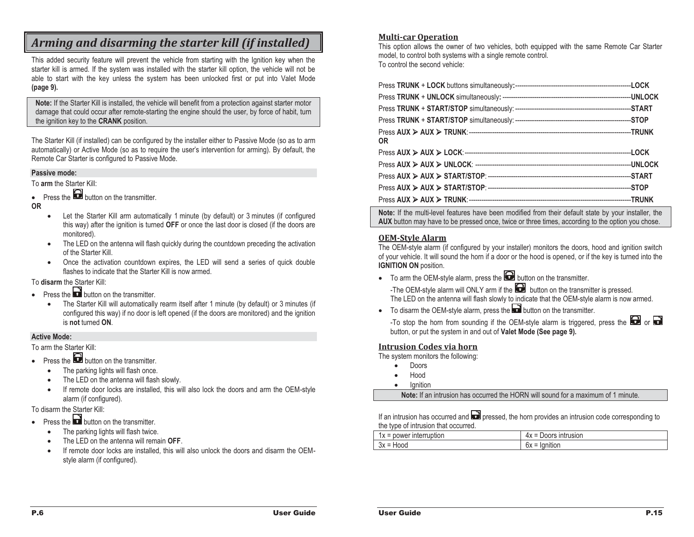# *Arming and disarming the starter kill (if installed)*

This added security feature will prevent the vehicle from starting with the Ignition key when the starter kill is armed. If the system was installed with the starter kill option, the vehicle will not be able to start with the key unless the system has been unlocked first or put into Valet Mode **(page 9).**

Note: If the Starter Kill is installed, the vehicle will benefit from a protection against starter motor damage that could occur after remote-starting the engine should the user, by force of habit, turn the ignition key to the **CRANK** position.

The Starter Kill (if installed) can be configured by the installer either to Passive Mode (so as to arm automatically) or Active Mode (so as to require the user's intervention for arming). By default, the Remote Car Starter is configured to Passive Mode.

#### **Passive mode:**

To **arm** the Starter Kill:

• Press the **button** on the transmitter.

**OR**

- Let the Starter Kill arm automatically 1 minute (by default) or 3 minutes (if configured this way) after the ignition is turned **OFF** or once the last door is closed (if the doors are monitored).
- - The LED on the antenna will flash quickly during the countdown preceding the activation of the Starter Kill.
- Once the activation countdown expires, the LED will send a series of quick double flashes to indicate that the Starter Kill is now armed.

To **disarm** the Starter Kill:

- Press the **D** button on the transmitter.
	- $\bullet$  The Starter Kill will automatically rearm itself after 1 minute (by default) or 3 minutes (if configured this way) if no door is left opened (if the doors are monitored) and the ignition is **not** turned **ON**.

#### **Active Mode:**

To arm the Starter Kill:

- Press the **button** on the transmitter.
	- $\bullet$ The parking lights will flash once.
	- -The LED on the antenna will flash slowly.
	- - If remote door locks are installed, this will also lock the doors and arm the OEM-style alarm (if configured).

To disarm the Starter Kill:

- Press the **button** on the transmitter.
	- $\bullet$ The parking lights will flash twice.
	- -The LED on the antenna will remain **OFF**.
	- - If remote door locks are installed, this will also unlock the doors and disarm the OEMstyle alarm (if configured).

#### **Multi-car Operation**

This option allows the owner of two vehicles, both equipped with the same Remote Car Starter model, to control both systems with a single remote control. To control the second vehicle:

| <b>OR</b> |  |
|-----------|--|
|           |  |
|           |  |
|           |  |
|           |  |
|           |  |

**Note:** If the multi-level features have been modified from their default state by your installer, the **AUX** button may have to be pressed once, twice or three times, according to the option you chose.

#### **OEM-Style Alarm**

The OEM-style alarm (if configured by your installer) monitors the doors, hood and ignition switch of your vehicle. It will sound the horn if a door or the hood is opened, or if the key is turned into the **IGNITION ON** position.

- To arm the OEM-style alarm, press the **button** on the transmitter. -The OEM-style alarm will ONLY arm if the  $\blacksquare$  button on the transmitter is pressed. The LED on the antenna will flash slowly to indicate that the OEM-style alarm is now armed.
- To disarm the OEM-style alarm, press the **button on the transmitter.**

-To stop the horn from sounding if the OEM-style alarm is triggered, press the  $\bigodot$  or  $\bigodot$ button, or put the system in and out of **Valet Mode (See page 9).** 

#### **Intrusion Codes via horn**

The system monitors the following:

- -Doors
- -Hood
- -Ignition

**Note:** If an intrusion has occurred the HORN will sound for a maximum of 1 minute.

If an intrusion has occurred and  $\blacksquare$  pressed, the horn provides an intrusion code corresponding to the type of intrusion that occurred.

| .<br>.<br><br>$\overline{\phantom{a}}$<br>$\ddot{\phantom{1}}$<br>┅<br>11/1<br>-<br>$\Lambda$ | $ -$<br>$\overline{\phantom{0}}$<br>הוטור:<br>$\overline{\phantom{a}}$<br>тл |
|-----------------------------------------------------------------------------------------------|------------------------------------------------------------------------------|
| ົນ<br>-<br>-<br>Jλ                                                                            | $\cdots$<br>-<br>◡◠                                                          |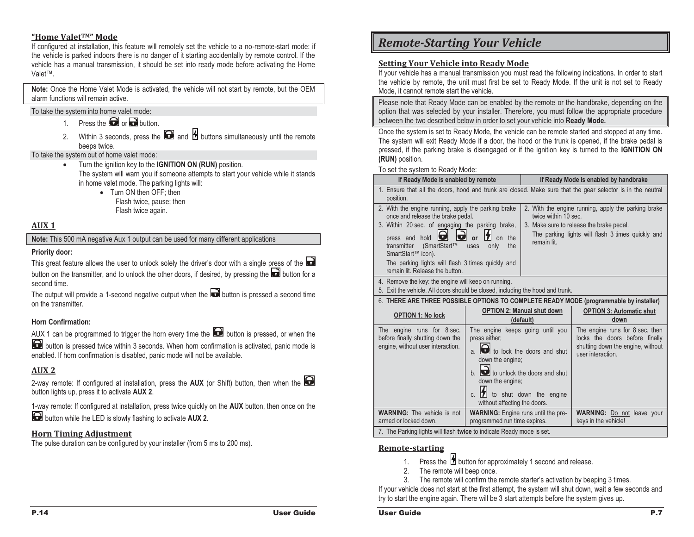#### **"Home ValetTM" Mode**

If configured at installation, this feature will remotely set the vehicle to a no-remote-start mode: if the vehicle is parked indoors there is no danger of it starting accidentally by remote control. If the vehicle has a manual transmission, it should be set into ready mode before activating the Home Valet™.

**Note:** Once the Home Valet Mode is activated, the vehicle will not start by remote, but the OEM alarm functions will remain active.

To take the system into home valet mode:

- 1. Press the  $\blacksquare$  or  $\blacksquare$  button.
- 2. Within 3 seconds, press the  $\blacksquare$  and  $\blacksquare$  buttons simultaneously until the remote beeps twice.

To take the system out of home valet mode:

- Turn the ignition key to the **IGNITION ON (RUN)** position. The system will warn you if someone attempts to start your vehicle while it stands in home valet mode. The parking lights will:
- Turn ON then OFF; then Flash twice, pause; then Flash twice again.

#### **AUX 1**

**Note:** This 500 mA negative Aux 1 output can be used for many different applications

#### **Priority door:**

This great feature allows the user to unlock solely the driver's door with a single press of the button on the transmitter, and to unlock the other doors, if desired, by pressing the **button for a** second time.

The output will provide a 1-second negative output when the  $\Box$  button is pressed a second time on the transmitter.

#### **Horn Confirmation:**

AUX 1 can be programmed to trigger the horn every time the  $\blacksquare$  button is pressed, or when the

 $\bigodot$  button is pressed twice within 3 seconds. When horn confirmation is activated, panic mode is enabled. If horn confirmation is disabled, panic mode will not be available.

#### **AUX 2**

2-way remote: If configured at installation, press the **AUX** (or Shift) button, then when the button lights up, press it to activate **AUX 2**.

1-way remote: If configured at installation, press twice quickly on the **AUX** button, then once on the

button while the LED is slowly flashing to activate **AUX 2**.

#### **Horn Timing Adjustment**

The pulse duration can be configured by your installer (from 5 ms to 200 ms).

# *Remote-Starting Your Vehicle*

#### **Setting Your Vehicle into Ready Mode**

If your vehicle has a manual transmission you must read the following indications. In order to start the vehicle by remote, the unit must first be set to Ready Mode. If the unit is not set to Ready Mode, it cannot remote start the vehicle.

Please note that Ready Mode can be enabled by the remote or the handbrake, depending on the option that was selected by your installer. Therefore, you must follow the appropriate procedure between the two described below in order to set your vehicle into **Ready Mode.**

Once the system is set to Ready Mode, the vehicle can be remote started and stopped at any time. The system will exit Ready Mode if a door, the hood or the trunk is opened, if the brake pedal is pressed, if the parking brake is disengaged or if the ignition key is turned to the **IGNITION ON (RUN)** position.

To set the system to Ready Mode:

| If Ready Mode is enabled by remote                                                                                                                                                                                                                                                                                               |                                                                                                                                                                                                                        | If Ready Mode is enabled by handbrake                                                                                                                                                       |                                                                                                                             |  |  |  |
|----------------------------------------------------------------------------------------------------------------------------------------------------------------------------------------------------------------------------------------------------------------------------------------------------------------------------------|------------------------------------------------------------------------------------------------------------------------------------------------------------------------------------------------------------------------|---------------------------------------------------------------------------------------------------------------------------------------------------------------------------------------------|-----------------------------------------------------------------------------------------------------------------------------|--|--|--|
| 1. Ensure that all the doors, hood and trunk are closed. Make sure that the gear selector is in the neutral<br>position.                                                                                                                                                                                                         |                                                                                                                                                                                                                        |                                                                                                                                                                                             |                                                                                                                             |  |  |  |
| 2. With the engine running, apply the parking brake<br>once and release the brake pedal.<br>3. Within 20 sec. of engaging the parking brake,<br><b>und</b><br>انت<br>press and hold<br>(SmartStart™<br>transmitter<br>SmartStart™ icon).<br>The parking lights will flash 3 times quickly and<br>remain lit. Release the button. | or<br>the<br>on<br>the<br>only<br>uses                                                                                                                                                                                 | 2. With the engine running, apply the parking brake<br>twice within 10 sec.<br>3. Make sure to release the brake pedal.<br>The parking lights will flash 3 times guickly and<br>remain lit. |                                                                                                                             |  |  |  |
| 4. Remove the key: the engine will keep on running.<br>5. Exit the vehicle. All doors should be closed, including the hood and trunk.                                                                                                                                                                                            |                                                                                                                                                                                                                        |                                                                                                                                                                                             |                                                                                                                             |  |  |  |
|                                                                                                                                                                                                                                                                                                                                  |                                                                                                                                                                                                                        |                                                                                                                                                                                             | 6. THERE ARE THREE POSSIBLE OPTIONS TO COMPLETE READY MODE (programmable by installer)                                      |  |  |  |
| <b>OPTION 1: No lock</b>                                                                                                                                                                                                                                                                                                         |                                                                                                                                                                                                                        | <b>OPTION 2: Manual shut down</b><br><b>OPTION 3: Automatic shut</b><br>(default)<br>down                                                                                                   |                                                                                                                             |  |  |  |
| The engine runs for 8 sec.<br>before finally shutting down the<br>engine, without user interaction.                                                                                                                                                                                                                              | The engine keeps going until you<br>press either;<br>down the engine;<br>$\mathbf b$ . $\blacksquare$ to unlock the doors and shut<br>down the engine;<br>$\mathbf{z}$<br>$\mathsf{C}$<br>without affecting the doors. | to lock the doors and shut<br>to shut down the engine                                                                                                                                       | The engine runs for 8 sec. then<br>locks the doors before finally<br>shutting down the engine, without<br>user interaction. |  |  |  |
| <b>WARNING:</b> The vehicle is not                                                                                                                                                                                                                                                                                               | <b>WARNING:</b> Engine runs until the pre-                                                                                                                                                                             |                                                                                                                                                                                             | <b>WARNING:</b> Do not leave your                                                                                           |  |  |  |
| armed or locked down.<br>programmed run time expires.<br>keys in the vehicle!<br>7. The Parking lights will flash twice to indicate Ready mode is set.                                                                                                                                                                           |                                                                                                                                                                                                                        |                                                                                                                                                                                             |                                                                                                                             |  |  |  |

#### **Remote-starting**

- 1. Press the  $\boxtimes$  button for approximately 1 second and release.
- 2. The remote will beep once.
- 3. The remote will confirm the remote starter's activation by beeping 3 times.

If your vehicle does not start at the first attempt, the system will shut down, wait a few seconds and try to start the engine again. There will be 3 start attempts before the system gives up.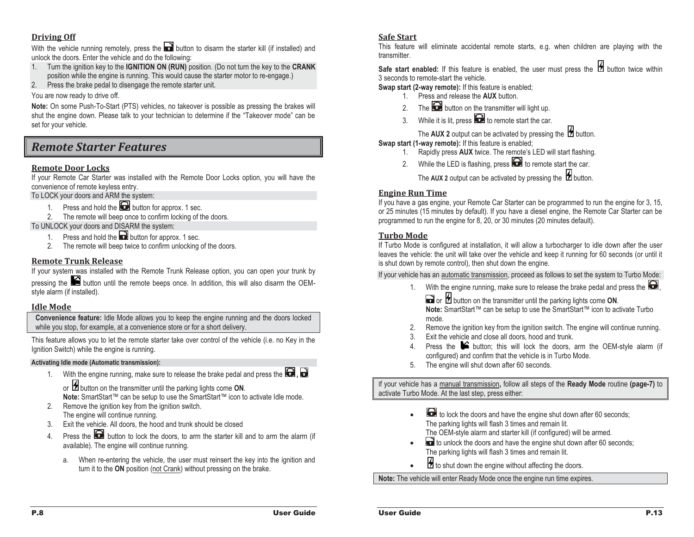#### **Driving Off**

With the vehicle running remotely, press the **button** to disarm the starter kill (if installed) and unlock the doors. Enter the vehicle and do the following:

- 1. Turn the ignition key to the **IGNITION ON (RUN)** position. (Do not turn the key to the **CRANK**  position while the engine is running. This would cause the starter motor to re-engage.)
- 2. Press the brake pedal to disengage the remote starter unit.

You are now ready to drive off.

**Note:** On some Push-To-Start (PTS) vehicles, no takeover is possible as pressing the brakes will shut the engine down. Please talk to your technician to determine if the "Takeover mode" can be set for your vehicle.

# *Remote Starter Features*

#### **Remote Door Locks**

If your Remote Car Starter was installed with the Remote Door Locks option, you will have the convenience of remote keyless entry.

To LOCK your doors and ARM the system:

- 1. Press and hold the **button for approx.** 1 sec.
- 2. The remote will beep once to confirm locking of the doors.

To UNLOCK your doors and DISARM the system:

- 1. Press and hold the **button for approx.** 1 sec.
- 2. The remote will beep twice to confirm unlocking of the doors.

#### **Remote Trunk Release**

If your system was installed with the Remote Trunk Release option, you can open your trunk by pressing the button until the remote beeps once. In addition, this will also disarm the OEMstyle alarm (if installed).

#### **Idle Mode**

**Convenience feature:** Idle Mode allows you to keep the engine running and the doors locked while you stop, for example, at a convenience store or for a short delivery.

This feature allows you to let the remote starter take over control of the vehicle (i.e. no Key in the Ignition Switch) while the engine is running.

#### **Activating Idle mode (Automatic transmission):**

1. With the engine running, make sure to release the brake pedal and press the **Lea**, or **H** button on the transmitter until the parking lights come **ON**.

**Note:** SmartStart™ can be setup to use the SmartStart™ icon to activate Idle mode.

- 2. Remove the ignition key from the ignition switch. The engine will continue running.
- 3.Exit the vehicle. All doors, the hood and trunk should be closed
- 4.Press the  $\Box$  button to lock the doors, to arm the starter kill and to arm the alarm (if available). The engine will continue running.
	- a. When re-entering the vehicle, the user must reinsert the key into the ignition and turn it to the **ON** position (not Crank) without pressing on the brake.

#### **Safe Start**

This feature will eliminate accidental remote starts, e.g. when children are playing with the transmitter.

Safe start enabled: If this feature is enabled, the user must press the **1** button twice within 3 seconds to remote-start the vehicle.

- **Swap start (2-way remote):** If this feature is enabled;
	- 1. Press and release the **AUX** button.
	- 2. The **button on the transmitter will light up.**
	- 3. While it is lit, press  $\bullet$  to remote start the car.

The **AUX 2** output can be activated by pressing the  $\mathbb{Z}$  button.

**Swap start (1-way remote):** If this feature is enabled;

- 1. Rapidly press **AUX** twice. The remote's LED will start flashing.
- 2. While the LED is flashing, press  $\Box$  to remote start the car.

The AUX 2 output can be activated by pressing the  $\mathbb Z$  button.

#### **Engine Run Time**

If you have a gas engine, your Remote Car Starter can be programmed to run the engine for 3, 15, or 25 minutes (15 minutes by default). If you have a diesel engine, the Remote Car Starter can be programmed to run the engine for 8, 20, or 30 minutes (20 minutes default).

#### **Turbo Mode**

If Turbo Mode is configured at installation, it will allow a turbocharger to idle down after the user leaves the vehicle: the unit will take over the vehicle and keep it running for 60 seconds (or until it is shut down by remote control), then shut down the engine.

If your vehicle has an automatic transmission, proceed as follows to set the system to Turbo Mode:

- 1. With the engine running, make sure to release the brake pedal and press the  $\blacksquare$ ,
	- or **b** button on the transmitter until the parking lights come ON. **Note:** SmartStart™ can be setup to use the SmartStart™ icon to activate Turbo mode.
- 2.Remove the ignition key from the ignition switch. The engine will continue running.
- 3.Exit the vehicle and close all doors, hood and trunk.
- 4. Press the  $\blacktriangleright$  button; this will lock the doors, arm the OEM-style alarm (if configured) and confirm that the vehicle is in Turbo Mode.
- 5. The engine will shut down after 60 seconds.

If your vehicle has a manual transmission**,** follow all steps of the **Ready Mode** routine **(page-7)** to activate Turbo Mode. At the last step, press either:

- to lock the doors and have the engine shut down after 60 seconds; The parking lights will flash 3 times and remain lit. The OEM-style alarm and starter kill (if configured) will be armed.
- to unlock the doors and have the engine shut down after 60 seconds; The parking lights will flash 3 times and remain lit.
- $\overline{B}$  to shut down the engine without affecting the doors.

**Note:** The vehicle will enter Ready Mode once the engine run time expires.

-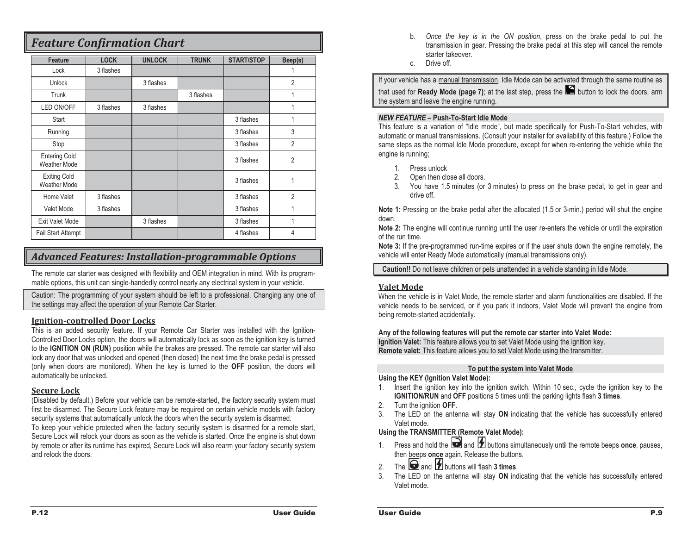# *Feature Confirmation Chart*

| Feature                                     | <b>LOCK</b> | <b>UNLOCK</b> | <b>TRUNK</b> | <b>START/STOP</b> | Beep(s)        |
|---------------------------------------------|-------------|---------------|--------------|-------------------|----------------|
| Lock                                        | 3 flashes   |               |              |                   |                |
| <b>Unlock</b>                               |             | 3 flashes     |              |                   | $\overline{2}$ |
| Trunk                                       |             |               | 3 flashes    |                   | 1              |
| LED ON/OFF                                  | 3 flashes   | 3 flashes     |              |                   | 1              |
| Start                                       |             |               |              | 3 flashes         | 1              |
| Running                                     |             |               |              | 3 flashes         | 3              |
| Stop                                        |             |               |              | 3 flashes         | $\overline{2}$ |
| <b>Entering Cold</b><br><b>Weather Mode</b> |             |               |              | 3 flashes         | $\overline{2}$ |
| <b>Exiting Cold</b><br><b>Weather Mode</b>  |             |               |              | 3 flashes         | 1              |
| Home Valet                                  | 3 flashes   |               |              | 3 flashes         | $\overline{2}$ |
| Valet Mode                                  | 3 flashes   |               |              | 3 flashes         | 1              |
| <b>Exit Valet Mode</b>                      |             | 3 flashes     |              | 3 flashes         | 1              |
| <b>Fail Start Attempt</b>                   |             |               |              | 4 flashes         | 4              |

## *Advanced Features: Installation-programmable Options*

The remote car starter was designed with flexibility and OEM integration in mind. With its programmable options, this unit can single-handedly control nearly any electrical system in your vehicle.

Caution: The programming of your system should be left to a professional. Changing any one of the settings may affect the operation of your Remote Car Starter.

#### **Ignition-controlled Door Locks**

This is an added security feature. If your Remote Car Starter was installed with the Ignition-Controlled Door Locks option, the doors will automatically lock as soon as the ignition key is turned to the **IGNITION ON (RUN)** position while the brakes are pressed. The remote car starter will also lock any door that was unlocked and opened (then closed) the next time the brake pedal is pressed (only when doors are monitored). When the key is turned to the **OFF** position, the doors will automatically be unlocked.

#### **Secure Lock**

(Disabled by default.) Before your vehicle can be remote-started, the factory security system must first be disarmed. The Secure Lock feature may be required on certain vehicle models with factory security systems that automatically unlock the doors when the security system is disarmed.

To keep your vehicle protected when the factory security system is disarmed for a remote start, Secure Lock will relock your doors as soon as the vehicle is started. Once the engine is shut down by remote or after its runtime has expired, Secure Lock will also rearm your factory security system and relock the doors.

- b. *Once the key is in the ON position*, press on the brake pedal to put the transmission in gear. Pressing the brake pedal at this step will cancel the remote starter takeover.
- c.Drive off.

If your vehicle has a manual transmission, Idle Mode can be activated through the same routine as

that used for **Ready Mode (page 7)**; at the last step, press the **button to lock the doors, arm** the system and leave the engine running.

#### *NEW FEATURE –* **Push-To-Start Idle Mode**

This feature is a variation of "Idle mode", but made specifically for Push-To-Start vehicles, with automatic or manual transmissions. (Consult your installer for availability of this feature.) Follow the same steps as the normal Idle Mode procedure, except for when re-entering the vehicle while the engine is running;

- 1. Press unlock
- 2. Open then close all doors.
- 3. You have 1.5 minutes (or 3 minutes) to press on the brake pedal, to get in gear and drive off.

**Note 1:** Pressing on the brake pedal after the allocated (1.5 or 3-min.) period will shut the engine down.

**Note 2:** The engine will continue running until the user re-enters the vehicle or until the expiration of the run time.

**Note 3:** If the pre-programmed run-time expires or if the user shuts down the engine remotely, the vehicle will enter Ready Mode automatically (manual transmissions only).

**Caution!!** Do not leave children or pets unattended in a vehicle standing in Idle Mode.

#### **Valet Mode**

When the vehicle is in Valet Mode, the remote starter and alarm functionalities are disabled. If the vehicle needs to be serviced, or if you park it indoors, Valet Mode will prevent the engine from being remote-started accidentally.

#### **Any of the following features will put the remote car starter into Valet Mode:**

**Ignition Valet:** This feature allows you to set Valet Mode using the ignition key. **Remote valet:** This feature allows you to set Valet Mode using the transmitter.

#### **To put the system into Valet Mode**

#### **Using the KEY (Ignition Valet Mode):**

- 1. Insert the ignition key into the ignition switch. Within 10 sec., cycle the ignition key to the **IGNITION/RUN** and **OFF** positions 5 times until the parking lights flash **3 times**.
- 2. Turn the ignition **OFF**.
- 3. The LED on the antenna will stay **ON** indicating that the vehicle has successfully entered Valet mode.

#### **Using the TRANSMITTER (Remote Valet Mode):**

- 1.Press and hold the  $\Box$  and  $\Box$  buttons simultaneously until the remote beeps **once**, pauses, then beeps **once** again. Release the buttons.
- 2.The  $\Box$  and  $\Box$  buttons will flash  $3$  times.
- 3. The LED on the antenna will stay **ON** indicating that the vehicle has successfully entered Valet mode.